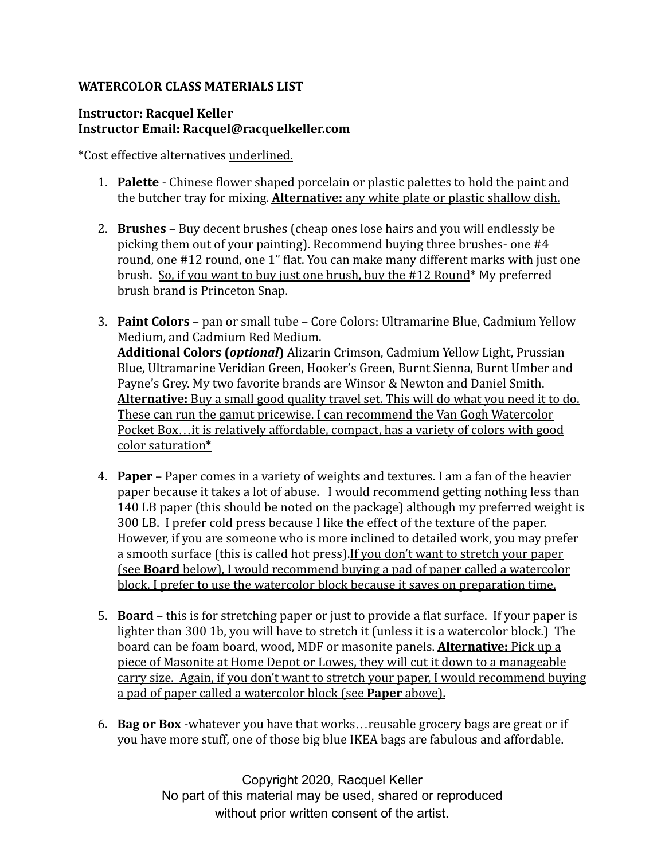## **WATERCOLOR CLASS MATERIALS LIST**

## **Instructor: Racquel Keller Instructor Email: Racquel@racquelkeller.com**

\*Cost effective alternatives underlined.

- 1. **Palette** Chinese flower shaped porcelain or plastic palettes to hold the paint and the butcher tray for mixing. **Alternative:** any white plate or plastic shallow dish.
- 2. **Brushes** Buy decent brushes (cheap ones lose hairs and you will endlessly be picking them out of your painting). Recommend buying three brushes- one #4 round, one #12 round, one 1" flat. You can make many different marks with just one brush. So, if you want to buy just one brush, buy the #12 Round\* My preferred brush brand is Princeton Snap.
- 3. **Paint Colors** pan or small tube Core Colors: Ultramarine Blue, Cadmium Yellow Medium, and Cadmium Red Medium. **Additional Colors (***optional***)** Alizarin Crimson, Cadmium Yellow Light, Prussian Blue, Ultramarine Veridian Green, Hooker's Green, Burnt Sienna, Burnt Umber and Payne's Grey. My two favorite brands are Winsor & Newton and Daniel Smith. **Alternative:** Buy a small good quality travel set. This will do what you need it to do. These can run the gamut pricewise. I can recommend the Van Gogh Watercolor Pocket Box…it is relatively affordable, compact, has a variety of colors with good color saturation\*
- 4. **Paper** Paper comes in a variety of weights and textures. I am a fan of the heavier paper because it takes a lot of abuse. I would recommend getting nothing less than 140 LB paper (this should be noted on the package) although my preferred weight is 300 LB. I prefer cold press because I like the effect of the texture of the paper. However, if you are someone who is more inclined to detailed work, you may prefer a smooth surface (this is called hot press).If you don't want to stretch your paper (see **Board** below), I would recommend buying a pad of paper called a watercolor block. I prefer to use the watercolor block because it saves on preparation time.
- 5. **Board** this is for stretching paper or just to provide a flat surface. If your paper is lighter than 300 1b, you will have to stretch it (unless it is a watercolor block.) The board can be foam board, wood, MDF or masonite panels. **Alternative:** Pick up a piece of Masonite at Home Depot or Lowes, they will cut it down to a manageable carry size. Again, if you don't want to stretch your paper, I would recommend buying a pad of paper called a watercolor block (see **Paper** above).
- 6. **Bag or Box** -whatever you have that works…reusable grocery bags are great or if you have more stuff, one of those big blue IKEA bags are fabulous and affordable.

Copyright 2020, Racquel Keller No part of this material may be used, shared or reproduced without prior written consent of the artist.